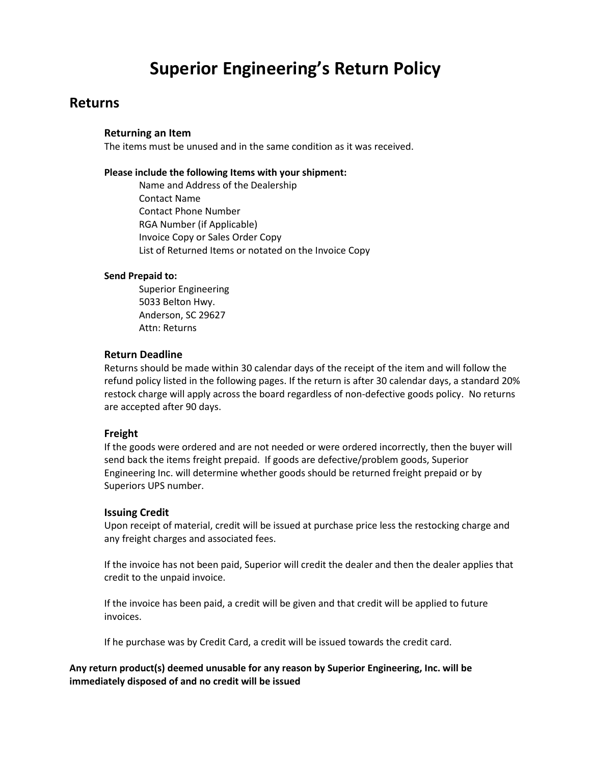# **Superior Engineering's Return Policy**

## **Returns**

#### **Returning an Item**

The items must be unused and in the same condition as it was received.

#### **Please include the following Items with your shipment:**

Name and Address of the Dealership Contact Name Contact Phone Number RGA Number (if Applicable) Invoice Copy or Sales Order Copy List of Returned Items or notated on the Invoice Copy

#### **Send Prepaid to:**

Superior Engineering 5033 Belton Hwy. Anderson, SC 29627 Attn: Returns

#### **Return Deadline**

Returns should be made within 30 calendar days of the receipt of the item and will follow the refund policy listed in the following pages. If the return is after 30 calendar days, a standard 20% restock charge will apply across the board regardless of non-defective goods policy. No returns are accepted after 90 days.

#### **Freight**

If the goods were ordered and are not needed or were ordered incorrectly, then the buyer will send back the items freight prepaid. If goods are defective/problem goods, Superior Engineering Inc. will determine whether goods should be returned freight prepaid or by Superiors UPS number.

#### **Issuing Credit**

Upon receipt of material, credit will be issued at purchase price less the restocking charge and any freight charges and associated fees.

If the invoice has not been paid, Superior will credit the dealer and then the dealer applies that credit to the unpaid invoice.

If the invoice has been paid, a credit will be given and that credit will be applied to future invoices.

If he purchase was by Credit Card, a credit will be issued towards the credit card.

**Any return product(s) deemed unusable for any reason by Superior Engineering, Inc. will be immediately disposed of and no credit will be issued**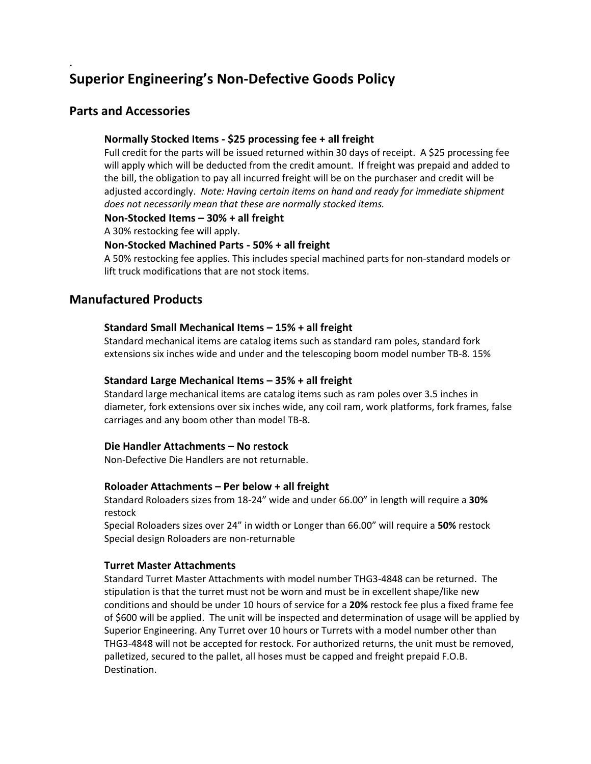## **Superior Engineering's Non-Defective Goods Policy**

### **Parts and Accessories**

**.**

#### **Normally Stocked Items - \$25 processing fee + all freight**

Full credit for the parts will be issued returned within 30 days of receipt. A \$25 processing fee will apply which will be deducted from the credit amount. If freight was prepaid and added to the bill, the obligation to pay all incurred freight will be on the purchaser and credit will be adjusted accordingly. *Note: Having certain items on hand and ready for immediate shipment does not necessarily mean that these are normally stocked items.*

#### **Non-Stocked Items – 30% + all freight**

A 30% restocking fee will apply.

#### **Non-Stocked Machined Parts - 50% + all freight**

A 50% restocking fee applies. This includes special machined parts for non-standard models or lift truck modifications that are not stock items.

### **Manufactured Products**

#### **Standard Small Mechanical Items – 15% + all freight**

Standard mechanical items are catalog items such as standard ram poles, standard fork extensions six inches wide and under and the telescoping boom model number TB-8. 15%

#### **Standard Large Mechanical Items – 35% + all freight**

Standard large mechanical items are catalog items such as ram poles over 3.5 inches in diameter, fork extensions over six inches wide, any coil ram, work platforms, fork frames, false carriages and any boom other than model TB-8.

#### **Die Handler Attachments – No restock**

Non-Defective Die Handlers are not returnable.

#### **Roloader Attachments – Per below + all freight**

Standard Roloaders sizes from 18-24" wide and under 66.00" in length will require a **30%** restock

Special Roloaders sizes over 24" in width or Longer than 66.00" will require a **50%** restock Special design Roloaders are non-returnable

#### **Turret Master Attachments**

Standard Turret Master Attachments with model number THG3-4848 can be returned. The stipulation is that the turret must not be worn and must be in excellent shape/like new conditions and should be under 10 hours of service for a **20%** restock fee plus a fixed frame fee of \$600 will be applied. The unit will be inspected and determination of usage will be applied by Superior Engineering. Any Turret over 10 hours or Turrets with a model number other than THG3-4848 will not be accepted for restock. For authorized returns, the unit must be removed, palletized, secured to the pallet, all hoses must be capped and freight prepaid F.O.B. Destination.